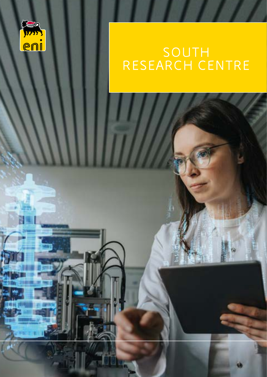

# RESEARCH CENTRE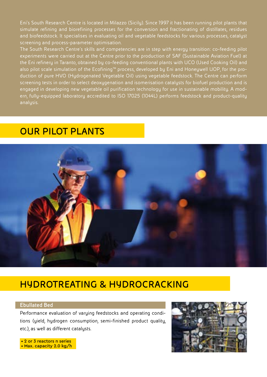Eni's South Research Centre is located in Milazzo (Sicily). Since 1997 it has been running pilot plants that simulate refining and biorefining processes for the conversion and fractionating of distillates, residues and biofeedstock. It specialises in evaluating oil and vegetable feedstocks for various processes, catalyst screening and process-parameter optimisation.

The South Research Centre's skills and competencies are in step with energy transition: co-feeding pilot experiments were carried out at the Centre prior to the production of SAF (Sustainable Aviation Fuel) at the Eni refinery in Taranto, obtained by co-feeding conventional plants with UCO (Used Cooking Oil) and also pilot scale simulation of the Ecofining™ process, developed by Eni and Honeywell UOP, for the production of pure HVO (Hydrogenated Vegetable Oil) using vegetable feedstock. The Centre can perform screening tests in order to select deoxygenation and isomerisation catalysts for biofuel production and is engaged in developing new vegetable oil purification technology for use in sustainable mobility. A modern, fully-equipped laboratory accredited to ISO 17025 (1044L) performs feedstock and product-quality analysis.

## **OUR PILOT PLANTS**



## **HYDROTREATING & HYDROCRACKING**

#### **Ebullated Bed**

Performance evaluation of varying feedstocks and operating conditions (yield, hydrogen consumption, semi-finished product quality, etc.), as well as different catalysts.



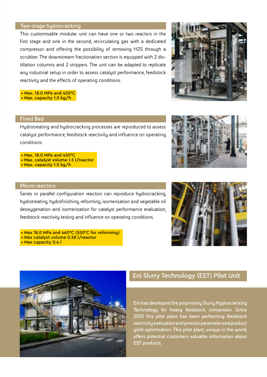#### **Two-stage hydrocracking**

This customisable modular unit can have one or two reactors in the first stage and one in the second, recirculating gas with a dedicated compressor and offering the possibility of removing H2S through a scrubber. The downstream fractionation section is equipped with 2 distillation columns and 2 strippers. The unit can be adapted to replicate any industrial setup in order to assess catalyst performance, feedstock reactivity and the effects of operating conditions.

 • Max. 18.0 MPa and 450°C • Max. capacity 1.0 kg/h

### **Fixed Bed**

Hydrotreating and hydrocracking processes are reproduced to assess catalyst performance, feedstock reactivity and influence on operating conditions

 • Max. 18.0 MPa and 450°C • Max. catalyst volume 1.5 l/reactor

• Max. capacity 1.5 kg/h



Series or parallel configuration reactors can reproduce hydrocracking, hydrotreating, hydrofinishing, reforming, isomerisation and vegetable oil deoxygenation and isomerization for catalyst performance evaluation, feedstock reactivity testing and influence on operating conditions.

- Max 18.0 MPa and 460°C (550°C for reforming)
- Max catalyst volume 0.28 l/reactor
- Max capacity 0.4 l





## Eni Slurry Technology (EST) Pilot Unit

**Eni has developed the proprietary Slurry Hydrocracking Technology for heavy feedstock conversion. Since 2001 this pilot plant has been performing feedstock reactivity evaluation and process parameter and product yield optimisation. This pilot plant, unique in the world, offers potential customers valuable information about EST products.**



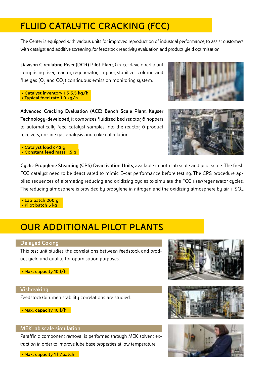# **FLUID CATALYTIC CRACKING (FCC)**

The Center is equipped with various units for improved reproduction of industrial performance, to assist customers with catalyst and additive screening, for feedstock reactivity evaluation and product yield optimisation:

**Davison Circulating Riser (DCR) Pilot Plant**, Grace-developed plant comprising riser, reactor, regenerator, stripper, stabilizer column and flue gas (O<sub>2</sub> and CO<sub>2</sub>) continuous emission monitoring system.

 • Catalyst inventory 1.5-3.5 kg/h • Typical feed rate 1.0 kg/h

**Advanced Cracking Evaluation (ACE) Bench Scale Plant, Kayser Technology-developed**, it comprises fluidized bed reactor, 6 hoppers to automatically feed catalyst samples into the reactor, 6 product receivers, on-line gas analysis and coke calculation.





 • Catalyst load 6-12 g • Constant feed mass 1.5 g

**Cyclic Propylene Steaming (CPS) Deactivation Units**, available in both lab scale and pilot scale. The fresh FCC catalyst need to be deactivated to mimic E-cat performance before testing. The CPS procedure applies sequences of alternating reducing and oxidizing cycles to simulate the FCC riser/regenerator cycles. The reducing atmosphere is provided by propylene in nitrogen and the oxidizing atmosphere by air  $+$  SO<sub>2</sub>. .

 • Lab batch 200 g • Pilot batch 5 kg

## **OUR ADDITIONAL PILOT PLANTS**

#### **Delayed Coking**

This test unit studies the correlations between feedstock and product yield and quality for optimisation purposes.

• Max. capacity 10 l/h

#### **Visbreaking**

Feedstock/bitumen stability correlations are studied.

• Max. capacity 10 l/h

#### **MEK lab scale simulation**

Paraffinic component removal is performed through MEK solvent extraction in order to improve lube base properties at low temperature.

• Max. capacity 1 | /batch





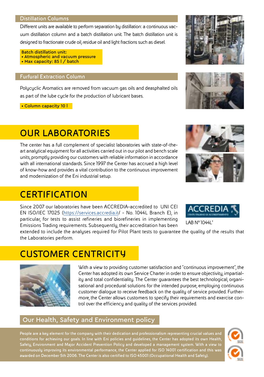#### **Distillation Columns**

Different units are available to perform separation by distillation: a continuous vacuum distillation column and a batch distillation unit. The batch distillation unit is designed to fractionate crude oil, residue oil and light fractions such as diesel.

Batch distillation unit: • Atmospheric and vacuum pressure • Max capacity: 85 | / batch

#### **Furfural Extraction Column**

Polycyclic Aromatics are removed from vacuum gas oils and deasphalted oils as part of the lube cycle for the production of lubricant bases.

• Column capacity 10 l

## **OUR LABORATORIES**

The center has a full complement of specialist laboratories with state-of-theart analytical equipment for all activities carried out in our pilot and bench scale units, promptly providing our customers with reliable information in accordance with all international standards. Since 1997 the Center has accrued a high level of know-how and provides a vital contribution to the continuous improvement and modernization of the Eni industrial setup.

## **CERTIFICATION**

Since 2007 our laboratories have been ACCREDIA-accredited to UNI CEI EN ISO/IEC 17025 ([https://services.accredia.it/](https://services.accredia.it) - No. 1044L Branch E), in particular, for tests to assist refineries and biorefineries in implementing Emissions Trading requirements. Subsequently, their accreditation has been

extended to include the analyses required for Pilot Plant tests to guarantee the quality of the results that the Laboratories perform.

# **CUSTOMER CENTRICITY**



With a view to providing customer satisfaction and "continuous improvement", the Center has adopted its own Service Charter in order to ensure objectivity, impartiality and total confidentiality. The Center guarantees the best technological, organisational and procedural solutions for the intended purpose, employing continuous customer dialogue to receive feedback on the quality of service provided. Furthermore, the Center allows customers to specify their requirements and exercise control over the efficiency and quality of the services provided.

## Our Health, Safety and Environment policy

**People are a key element for the company with their dedication and professionalism representing crucial values and conditions for achieving our goals. In line with Eni policies and guidelines, the Center has adopted its own Health, Safety, Environment and Major Accident Prevention Policy and developed a management system. With a view to continuously improving its environmental performance, the Center applied for ISO 14001 certification and this was awarded on December 5th 2006. The Center is also certified to ISO 45001 (Occupational Health and Safety).**